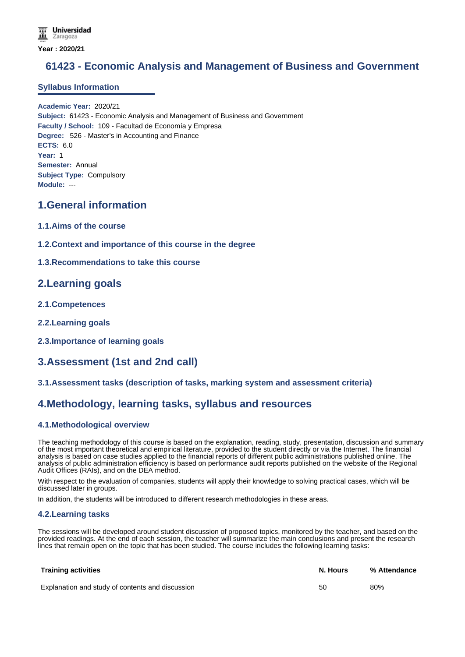# **61423 - Economic Analysis and Management of Business and Government**

### **Syllabus Information**

**Academic Year:** 2020/21 **Subject:** 61423 - Economic Analysis and Management of Business and Government **Faculty / School:** 109 - Facultad de Economía y Empresa **Degree:** 526 - Master's in Accounting and Finance **ECTS:** 6.0 **Year:** 1 **Semester:** Annual **Subject Type:** Compulsory **Module:** ---

# **1.General information**

- **1.1.Aims of the course**
- **1.2.Context and importance of this course in the degree**

#### **1.3.Recommendations to take this course**

# **2.Learning goals**

- **2.1.Competences**
- **2.2.Learning goals**
- **2.3.Importance of learning goals**

# **3.Assessment (1st and 2nd call)**

### **3.1.Assessment tasks (description of tasks, marking system and assessment criteria)**

# **4.Methodology, learning tasks, syllabus and resources**

### **4.1.Methodological overview**

The teaching methodology of this course is based on the explanation, reading, study, presentation, discussion and summary of the most important theoretical and empirical literature, provided to the student directly or via the Internet. The financial analysis is based on case studies applied to the financial reports of different public administrations published online. The analysis of public administration efficiency is based on performance audit reports published on the website of the Regional Audit Offices (RAIs), and on the DEA method.

With respect to the evaluation of companies, students will apply their knowledge to solving practical cases, which will be discussed later in groups.

In addition, the students will be introduced to different research methodologies in these areas.

#### **4.2.Learning tasks**

The sessions will be developed around student discussion of proposed topics, monitored by the teacher, and based on the provided readings. At the end of each session, the teacher will summarize the main conclusions and present the research lines that remain open on the topic that has been studied. The course includes the following learning tasks:

| <b>Training activities</b>                       | N. Hours | % Attendance |
|--------------------------------------------------|----------|--------------|
| Explanation and study of contents and discussion | 50       | 80%          |